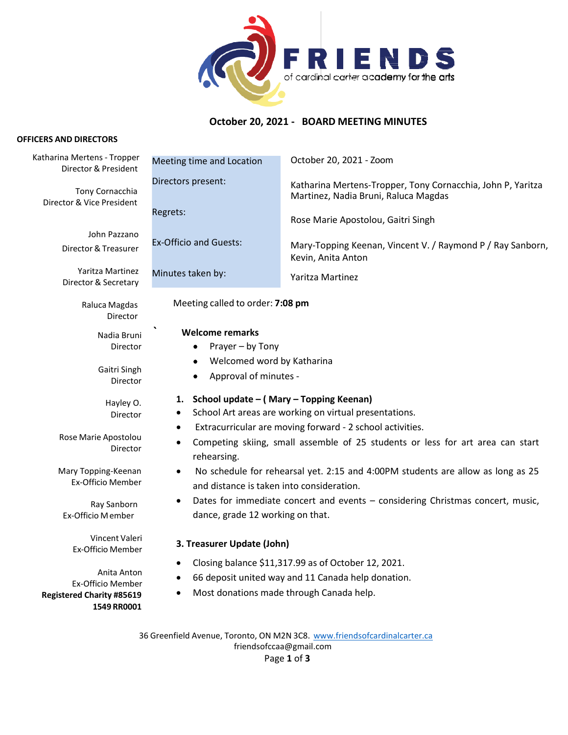

# **October 20, 2021 - BOARD MEETING MINUTES**

#### **OFFICERS AND DIRECTORS**

| Katharina Mertens - Tropper<br>Director & President                                 | Meeting time and Location                                                                                                                                                    | October 20, 2021 - Zoom                                                                                                                   |
|-------------------------------------------------------------------------------------|------------------------------------------------------------------------------------------------------------------------------------------------------------------------------|-------------------------------------------------------------------------------------------------------------------------------------------|
| Tony Cornacchia<br>Director & Vice President                                        | Directors present:<br>Regrets:                                                                                                                                               | Katharina Mertens-Tropper, Tony Cornacchia, John P, Yaritza<br>Martinez, Nadia Bruni, Raluca Magdas<br>Rose Marie Apostolou, Gaitri Singh |
| John Pazzano<br>Director & Treasurer                                                | <b>Ex-Officio and Guests:</b>                                                                                                                                                | Mary-Topping Keenan, Vincent V. / Raymond P / Ray Sanborn,<br>Kevin, Anita Anton                                                          |
| Yaritza Martinez<br>Director & Secretary                                            | Minutes taken by:                                                                                                                                                            | Yaritza Martinez                                                                                                                          |
| Raluca Magdas<br>Director                                                           | Meeting called to order: 7:08 pm                                                                                                                                             |                                                                                                                                           |
| Nadia Bruni<br>Director                                                             | <b>Welcome remarks</b><br>Prayer - by Tony<br>٠                                                                                                                              |                                                                                                                                           |
| Gaitri Singh<br>Director                                                            | Welcomed word by Katharina<br>٠<br>Approval of minutes -<br>٠                                                                                                                |                                                                                                                                           |
| Hayley O.<br>Director                                                               | School update – (Mary – Topping Keenan)<br>1.<br>School Art areas are working on virtual presentations.                                                                      |                                                                                                                                           |
| Rose Marie Apostolou<br>Director                                                    | Extracurricular are moving forward - 2 school activities.<br>٠<br>Competing skiing, small assemble of 25 students or less for art area can start<br>$\bullet$<br>rehearsing. |                                                                                                                                           |
| Mary Topping-Keenan<br>Ex-Officio Member                                            | No schedule for rehearsal yet. 2:15 and 4:00PM students are allow as long as 25<br>and distance is taken into consideration.                                                 |                                                                                                                                           |
| Ray Sanborn<br>Ex-Officio Member                                                    | Dates for immediate concert and events - considering Christmas concert, music,<br>$\bullet$<br>dance, grade 12 working on that.                                              |                                                                                                                                           |
| Vincent Valeri<br>Ex-Officio Member                                                 | 3. Treasurer Update (John)                                                                                                                                                   |                                                                                                                                           |
| Anita Anton<br>Ex-Officio Member<br><b>Registered Charity #85619</b><br>1549 RR0001 | Closing balance \$11,317.99 as of October 12, 2021.<br>٠<br>66 deposit united way and 11 Canada help donation.<br>٠<br>Most donations made through Canada help.<br>$\bullet$ |                                                                                                                                           |
|                                                                                     |                                                                                                                                                                              |                                                                                                                                           |

36 Greenfield Avenue, Toronto, ON M2N 3C8. [www.friendsofcardinalcarter.ca](http://www.friendsofcardinalcarter.ca/) [friendsofccaa@gmail.com](mailto:friendsofccaa@gmail.com) Page **1** of **3**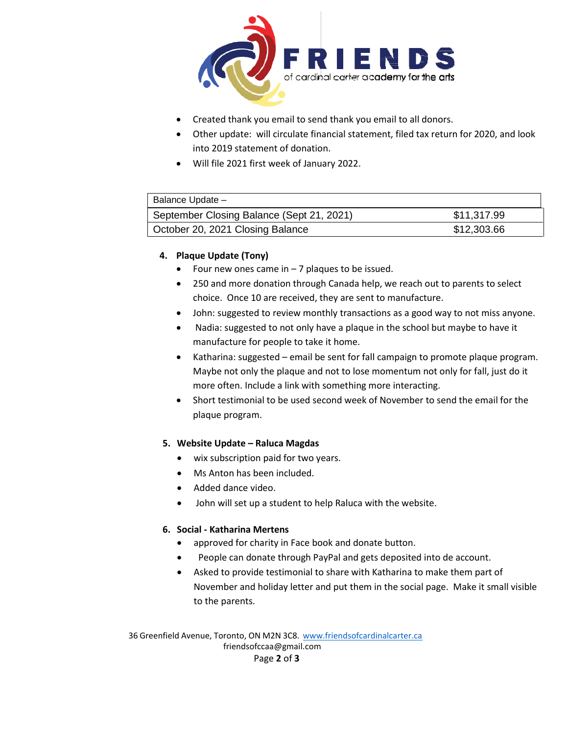

- Created thank you email to send thank you email to all donors.
- Other update: will circulate financial statement, filed tax return for 2020, and look into 2019 statement of donation.
- Will file 2021 first week of January 2022.

| Balance Update -                          |             |  |  |
|-------------------------------------------|-------------|--|--|
| September Closing Balance (Sept 21, 2021) | \$11,317.99 |  |  |
| October 20, 2021 Closing Balance          | \$12,303.66 |  |  |

## **4. Plaque Update (Tony)**

- Four new ones came in  $-7$  plaques to be issued.
- 250 and more donation through Canada help, we reach out to parents to select choice. Once 10 are received, they are sent to manufacture.
- John: suggested to review monthly transactions as a good way to not miss anyone.
- Nadia: suggested to not only have a plaque in the school but maybe to have it manufacture for people to take it home.
- Katharina: suggested email be sent for fall campaign to promote plaque program. Maybe not only the plaque and not to lose momentum not only for fall, just do it more often. Include a link with something more interacting.
- Short testimonial to be used second week of November to send the email for the plaque program.

### **5. Website Update – Raluca Magdas**

- wix subscription paid for two years.
- Ms Anton has been included.
- Added dance video.
- John will set up a student to help Raluca with the website.

#### **6. Social - Katharina Mertens**

- approved for charity in Face book and donate button.
- People can donate through PayPal and gets deposited into de account.
- Asked to provide testimonial to share with Katharina to make them part of November and holiday letter and put them in the social page. Make it small visible to the parents.

36 Greenfield Avenue, Toronto, ON M2N 3C8. [www.friendsofcardinalcarter.ca](http://www.friendsofcardinalcarter.ca/) [friendsofccaa@gmail.com](mailto:friendsofccaa@gmail.com) Page **2** of **3**